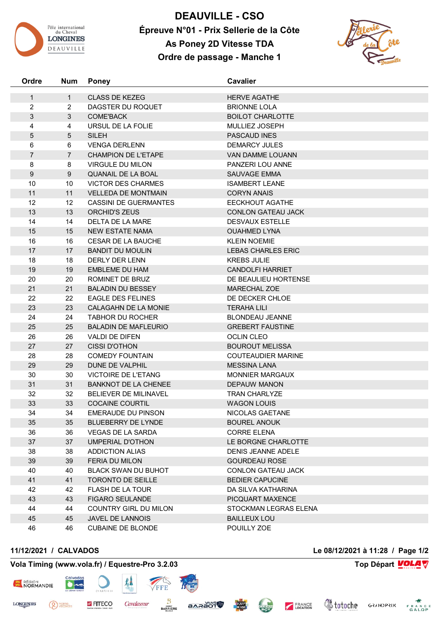

**DEAUVILLE - CSO Épreuve N°01 - Prix Sellerie de la Côte As Poney 2D Vitesse TDA Ordre de passage - Manche 1**



| Ordre               | <b>Num</b>     | <b>Poney</b>                               | <b>Cavalier</b>                            |  |
|---------------------|----------------|--------------------------------------------|--------------------------------------------|--|
|                     | $\mathbf{1}$   |                                            |                                            |  |
| 1<br>$\overline{2}$ | $\overline{2}$ | <b>CLASS DE KEZEG</b><br>DAGSTER DU ROQUET | <b>HERVE AGATHE</b><br><b>BRIONNE LOLA</b> |  |
| 3                   | 3              | <b>COME'BACK</b>                           | <b>BOILOT CHARLOTTE</b>                    |  |
| 4                   | 4              | URSUL DE LA FOLIE                          | MULLIEZ JOSEPH                             |  |
| 5                   | 5              | <b>SILEH</b>                               | PASCAUD INES                               |  |
|                     | 6              | <b>VENGA DERLENN</b>                       | <b>DEMARCY JULES</b>                       |  |
| 6<br>$\overline{7}$ | $\overline{7}$ | <b>CHAMPION DE L'ETAPE</b>                 | VAN DAMME LOUANN                           |  |
| 8                   | 8              | <b>VIRGULE DU MILON</b>                    | PANZERI LOU ANNE                           |  |
| 9                   | $9\,$          | QUANAIL DE LA BOAL                         | SAUVAGE EMMA                               |  |
| 10                  | 10             | <b>VICTOR DES CHARMES</b>                  | <b>ISAMBERT LEANE</b>                      |  |
| 11                  | 11             | <b>VELLEDA DE MONTMAIN</b>                 | <b>CORYN ANAIS</b>                         |  |
| 12                  | 12             | <b>CASSINI DE GUERMANTES</b>               | <b>EECKHOUT AGATHE</b>                     |  |
| 13                  | 13             | ORCHID'S ZEUS                              | <b>CONLON GATEAU JACK</b>                  |  |
| 14                  | 14             | DELTA DE LA MARE                           | <b>DESVAUX ESTELLE</b>                     |  |
| 15                  | 15             | <b>NEW ESTATE NAMA</b>                     | <b>OUAHMED LYNA</b>                        |  |
| 16                  | 16             | <b>CESAR DE LA BAUCHE</b>                  | <b>KLEIN NOEMIE</b>                        |  |
| 17                  | 17             | <b>BANDIT DU MOULIN</b>                    | <b>LEBAS CHARLES ERIC</b>                  |  |
| 18                  | 18             | DERLY DER LENN                             | <b>KREBS JULIE</b>                         |  |
| 19                  | 19             | <b>EMBLEME DU HAM</b>                      | <b>CANDOLFI HARRIET</b>                    |  |
| 20                  | 20             | ROMINET DE BRUZ                            | DE BEAULIEU HORTENSE                       |  |
| 21                  | 21             | <b>BALADIN DU BESSEY</b>                   | <b>MARECHAL ZOE</b>                        |  |
| 22                  | 22             | <b>EAGLE DES FELINES</b>                   | DE DECKER CHLOE                            |  |
| 23                  | 23             | CALAGAHN DE LA MONIE                       | <b>TERAHA LILI</b>                         |  |
| 24                  | 24             | <b>TABHOR DU ROCHER</b>                    | <b>BLONDEAU JEANNE</b>                     |  |
| 25                  | 25             | <b>BALADIN DE MAFLEURIO</b>                | <b>GREBERT FAUSTINE</b>                    |  |
| 26                  | 26             | <b>VALDI DE DIFEN</b>                      | <b>OCLIN CLEO</b>                          |  |
| 27                  | 27             | <b>CISSI D'OTHON</b>                       | <b>BOUROUT MELISSA</b>                     |  |
| 28                  | 28             | <b>COMEDY FOUNTAIN</b>                     | <b>COUTEAUDIER MARINE</b>                  |  |
| 29                  | 29             | <b>DUNE DE VALPHIL</b>                     | <b>MESSINA LANA</b>                        |  |
| 30                  | 30             | <b>VICTOIRE DE L'ETANG</b>                 | <b>MONNIER MARGAUX</b>                     |  |
| 31                  | 31             | <b>BANKNOT DE LA CHENEE</b>                | <b>DEPAUW MANON</b>                        |  |
| 32                  | 32             | BELIEVER DE MILINAVEL                      | <b>TRAN CHARLYZE</b>                       |  |
| 33                  | 33             | <b>COCAINE COURTIL</b>                     | <b>WAGON LOUIS</b>                         |  |
| 34                  | 34             | <b>EMERAUDE DU PINSON</b>                  | NICOLAS GAETANE                            |  |
| 35                  | 35             | <b>BLUEBERRY DE LYNDE</b>                  | <b>BOUREL ANOUK</b>                        |  |
| 36                  | 36             | <b>VEGAS DE LA SARDA</b>                   | <b>CORRE ELENA</b>                         |  |
| 37                  | 37             | UMPERIAL D'OTHON                           | LE BORGNE CHARLOTTE                        |  |
| 38                  | 38             | <b>ADDICTION ALIAS</b>                     | <b>DENIS JEANNE ADELE</b>                  |  |
| 39                  | 39             | FERIA DU MILON                             | <b>GOURDEAU ROSE</b>                       |  |
| 40                  | 40             | <b>BLACK SWAN DU BUHOT</b>                 | <b>CONLON GATEAU JACK</b>                  |  |
| 41                  | 41             | <b>TORONTO DE SEILLE</b>                   | <b>BEDIER CAPUCINE</b>                     |  |
| 42                  | 42             | <b>FLASH DE LA TOUR</b>                    | DA SILVA KATHARINA                         |  |
| 43                  | 43             | <b>FIGARO SEULANDE</b>                     | PICQUART MAXENCE                           |  |
| 44                  | 44             | COUNTRY GIRL DU MILON                      | STOCKMAN LEGRAS ELENA                      |  |
| 45                  | 45             | JAVEL DE LANNOIS                           | <b>BAILLEUX LOU</b>                        |  |
| 46                  | 46             | <b>CUBAINE DE BLONDE</b>                   | POUILLY ZOE                                |  |

<sup>PIERRE</sup>

## **Vola Timing (www.vola.fr) / Equestre-Pro 3.2.03 Top Départ VOLA**

**FITECO** 

 $\bullet$ 

犁

Cavalassur

FEE

B

**BARRIERE** 

**BARAOT** 



**LONGINES** 

**11/12/2021 / CALVADOS Le 08/12/2021 à 11:28 / Page 1/2**

**Voloche** GRANDPRIX FRANCE

FRANCE